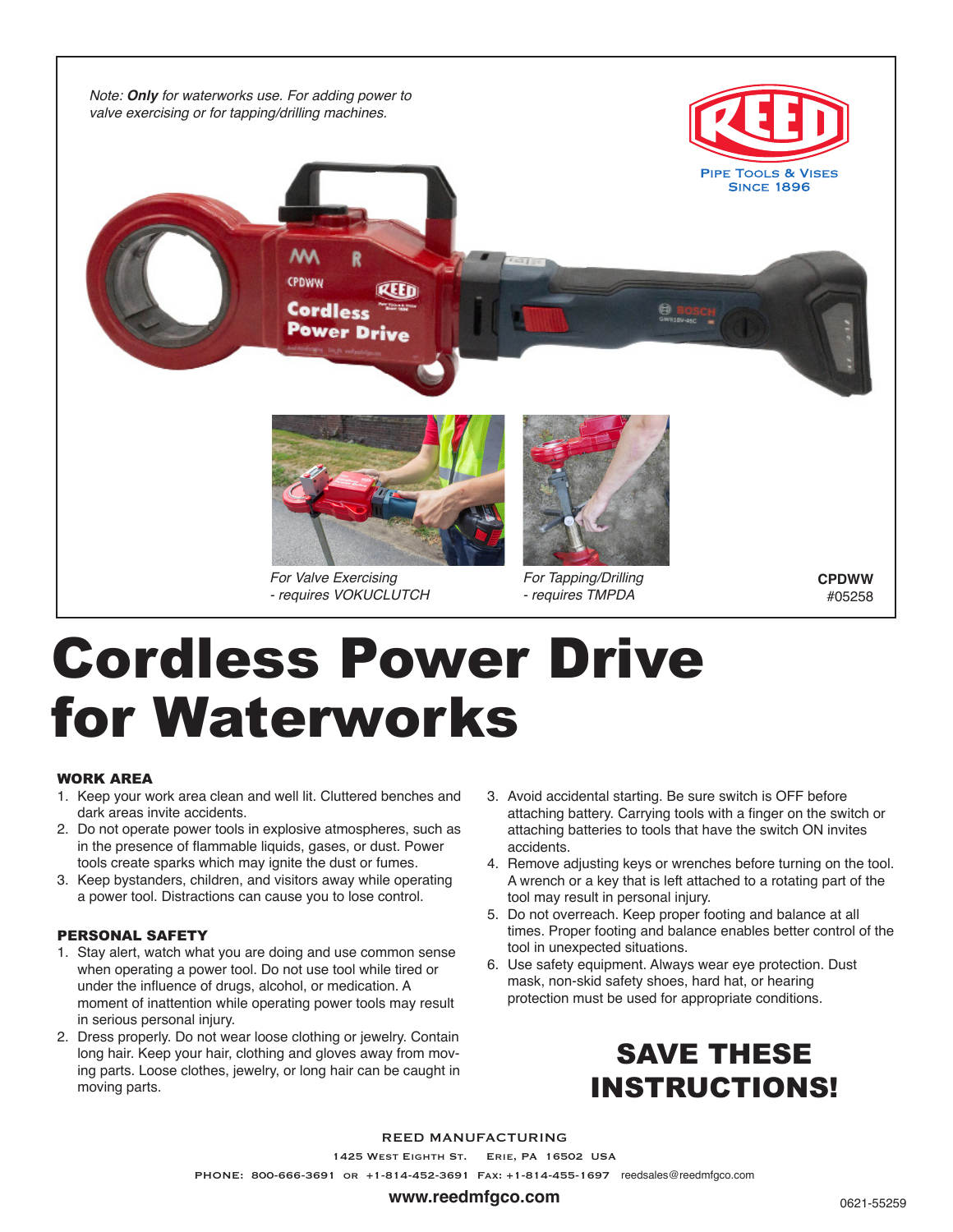

# Cordless Power Drive for Waterworks

#### WORK AREA

- 1. Keep your work area clean and well lit. Cluttered benches and dark areas invite accidents.
- 2. Do not operate power tools in explosive atmospheres, such as in the presence of flammable liquids, gases, or dust. Power tools create sparks which may ignite the dust or fumes.
- 3. Keep bystanders, children, and visitors away while operating a power tool. Distractions can cause you to lose control.

# PERSONAL SAFETY

- 1. Stay alert, watch what you are doing and use common sense when operating a power tool. Do not use tool while tired or under the influence of drugs, alcohol, or medication. A moment of inattention while operating power tools may result in serious personal injury.
- 2. Dress properly. Do not wear loose clothing or jewelry. Contain long hair. Keep your hair, clothing and gloves away from moving parts. Loose clothes, jewelry, or long hair can be caught in moving parts.
- 3. Avoid accidental starting. Be sure switch is OFF before attaching battery. Carrying tools with a finger on the switch or attaching batteries to tools that have the switch ON invites accidents.
- 4. Remove adjusting keys or wrenches before turning on the tool. A wrench or a key that is left attached to a rotating part of the tool may result in personal injury.
- 5. Do not overreach. Keep proper footing and balance at all times. Proper footing and balance enables better control of the tool in unexpected situations.
- 6. Use safety equipment. Always wear eye protection. Dust mask, non-skid safety shoes, hard hat, or hearing protection must be used for appropriate conditions.

# SAVE THESE INSTRUCTIONS!

#### REED MANUFACTURING

1425 West Eighth St. Erie, PA 16502 USA

PHONE: 800-666-3691 or +1-814-452-3691 Fax: +1-814-455-1697 reedsales@reedmfgco.com

#### **www.reedmfgco.com**